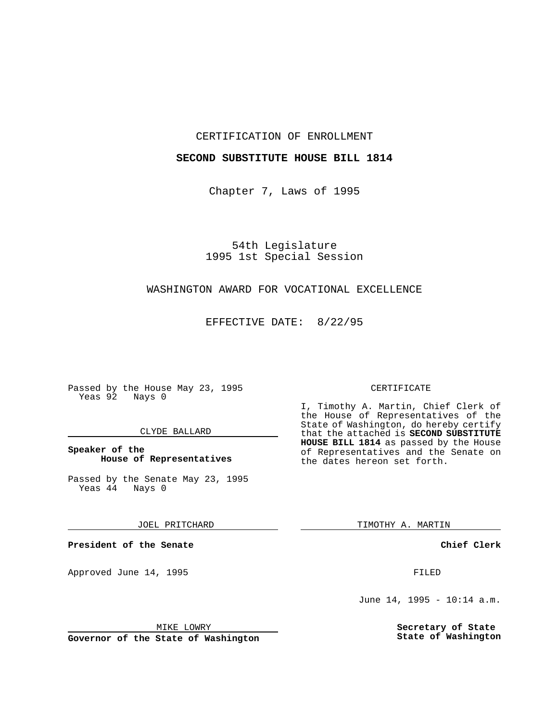### CERTIFICATION OF ENROLLMENT

## **SECOND SUBSTITUTE HOUSE BILL 1814**

Chapter 7, Laws of 1995

54th Legislature 1995 1st Special Session

## WASHINGTON AWARD FOR VOCATIONAL EXCELLENCE

EFFECTIVE DATE: 8/22/95

Passed by the House May 23, 1995 Yeas 92 Nays 0

#### CLYDE BALLARD

## **Speaker of the House of Representatives**

Passed by the Senate May 23, 1995<br>Yeas 44 Nays 0  $Yeas$  44

JOEL PRITCHARD

**President of the Senate**

Approved June 14, 1995 FILED

## CERTIFICATE

I, Timothy A. Martin, Chief Clerk of the House of Representatives of the State of Washington, do hereby certify that the attached is **SECOND SUBSTITUTE HOUSE BILL 1814** as passed by the House of Representatives and the Senate on the dates hereon set forth.

TIMOTHY A. MARTIN

**Chief Clerk**

June 14, 1995 - 10:14 a.m.

**Secretary of State State of Washington**

MIKE LOWRY

**Governor of the State of Washington**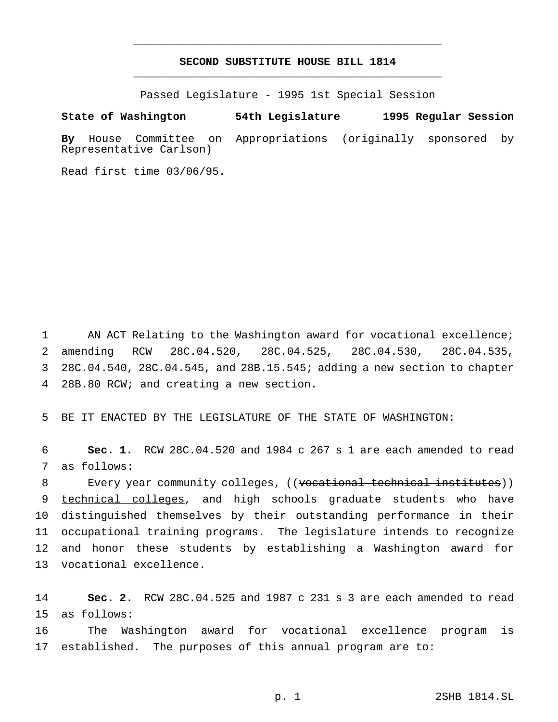# **SECOND SUBSTITUTE HOUSE BILL 1814** \_\_\_\_\_\_\_\_\_\_\_\_\_\_\_\_\_\_\_\_\_\_\_\_\_\_\_\_\_\_\_\_\_\_\_\_\_\_\_\_\_\_\_\_\_\_\_

\_\_\_\_\_\_\_\_\_\_\_\_\_\_\_\_\_\_\_\_\_\_\_\_\_\_\_\_\_\_\_\_\_\_\_\_\_\_\_\_\_\_\_\_\_\_\_

Passed Legislature - 1995 1st Special Session

**State of Washington 54th Legislature 1995 Regular Session**

**By** House Committee on Appropriations (originally sponsored by Representative Carlson)

Read first time 03/06/95.

 AN ACT Relating to the Washington award for vocational excellence; amending RCW 28C.04.520, 28C.04.525, 28C.04.530, 28C.04.535, 28C.04.540, 28C.04.545, and 28B.15.545; adding a new section to chapter 28B.80 RCW; and creating a new section.

BE IT ENACTED BY THE LEGISLATURE OF THE STATE OF WASHINGTON:

 **Sec. 1.** RCW 28C.04.520 and 1984 c 267 s 1 are each amended to read as follows:

8 Every year community colleges, ((vocational-technical institutes)) technical colleges, and high schools graduate students who have distinguished themselves by their outstanding performance in their occupational training programs. The legislature intends to recognize and honor these students by establishing a Washington award for vocational excellence.

 **Sec. 2.** RCW 28C.04.525 and 1987 c 231 s 3 are each amended to read as follows:

 The Washington award for vocational excellence program is established. The purposes of this annual program are to: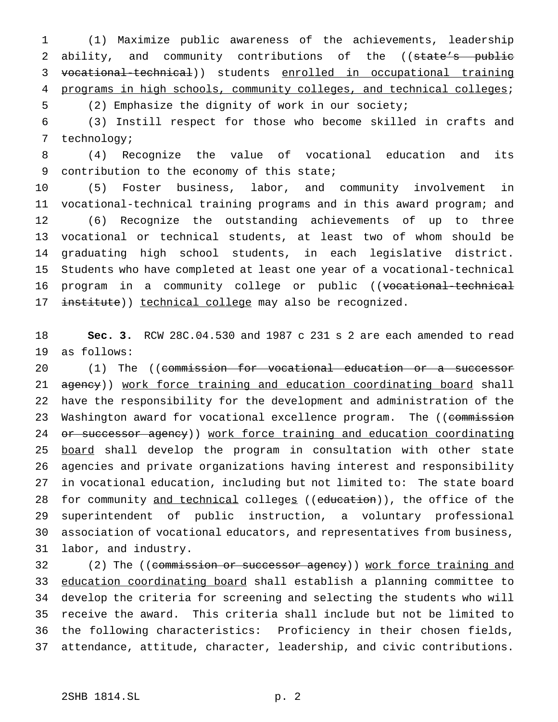(1) Maximize public awareness of the achievements, leadership 2 ability, and community contributions of the ((state's public vocational-technical)) students enrolled in occupational training 4 programs in high schools, community colleges, and technical colleges;

(2) Emphasize the dignity of work in our society;

 (3) Instill respect for those who become skilled in crafts and technology;

 (4) Recognize the value of vocational education and its contribution to the economy of this state;

 (5) Foster business, labor, and community involvement in vocational-technical training programs and in this award program; and (6) Recognize the outstanding achievements of up to three vocational or technical students, at least two of whom should be graduating high school students, in each legislative district. Students who have completed at least one year of a vocational-technical 16 program in a community college or public ((vocational-technical 17 institute)) technical college may also be recognized.

 **Sec. 3.** RCW 28C.04.530 and 1987 c 231 s 2 are each amended to read as follows:

20 (1) The ((commission for vocational education or a successor 21 agency)) work force training and education coordinating board shall have the responsibility for the development and administration of the 23 Washington award for vocational excellence program. The ((commission 24 or successor agency)) work force training and education coordinating 25 board shall develop the program in consultation with other state agencies and private organizations having interest and responsibility in vocational education, including but not limited to: The state board 28 for community and technical colleges ((education)), the office of the superintendent of public instruction, a voluntary professional association of vocational educators, and representatives from business, labor, and industry.

32 (2) The ((commission or successor agency)) work force training and education coordinating board shall establish a planning committee to develop the criteria for screening and selecting the students who will receive the award. This criteria shall include but not be limited to the following characteristics: Proficiency in their chosen fields, attendance, attitude, character, leadership, and civic contributions.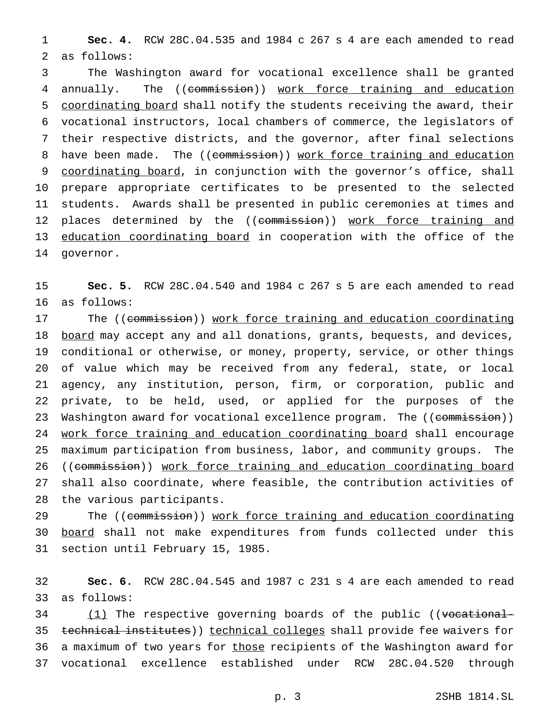**Sec. 4.** RCW 28C.04.535 and 1984 c 267 s 4 are each amended to read as follows:

 The Washington award for vocational excellence shall be granted 4 annually. The ((commission)) work force training and education coordinating board shall notify the students receiving the award, their vocational instructors, local chambers of commerce, the legislators of their respective districts, and the governor, after final selections 8 have been made. The ((commission)) work force training and education 9 coordinating board, in conjunction with the governor's office, shall prepare appropriate certificates to be presented to the selected students. Awards shall be presented in public ceremonies at times and 12 places determined by the ((commission)) work force training and 13 education coordinating board in cooperation with the office of the governor.

 **Sec. 5.** RCW 28C.04.540 and 1984 c 267 s 5 are each amended to read as follows:

17 The ((commission)) work force training and education coordinating 18 board may accept any and all donations, grants, bequests, and devices, conditional or otherwise, or money, property, service, or other things of value which may be received from any federal, state, or local agency, any institution, person, firm, or corporation, public and private, to be held, used, or applied for the purposes of the 23 Washington award for vocational excellence program. The ((commission)) 24 work force training and education coordinating board shall encourage maximum participation from business, labor, and community groups. The ((commission)) work force training and education coordinating board shall also coordinate, where feasible, the contribution activities of the various participants.

 The ((commission)) work force training and education coordinating 30 board shall not make expenditures from funds collected under this section until February 15, 1985.

 **Sec. 6.** RCW 28C.04.545 and 1987 c 231 s 4 are each amended to read as follows:

34 (1) The respective governing boards of the public ((vocational-35 technical institutes)) technical colleges shall provide fee waivers for 36 a maximum of two years for those recipients of the Washington award for vocational excellence established under RCW 28C.04.520 through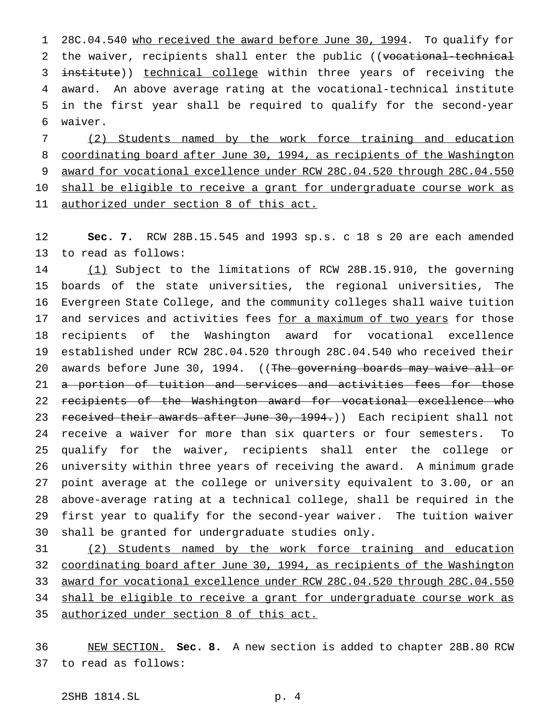28C.04.540 who received the award before June 30, 1994. To qualify for 2 the waiver, recipients shall enter the public ((vocational-technical 3 institute)) technical college within three years of receiving the award. An above average rating at the vocational-technical institute in the first year shall be required to qualify for the second-year waiver.

 (2) Students named by the work force training and education 8 coordinating board after June 30, 1994, as recipients of the Washington award for vocational excellence under RCW 28C.04.520 through 28C.04.550 10 shall be eligible to receive a grant for undergraduate course work as 11 authorized under section 8 of this act.

 **Sec. 7.** RCW 28B.15.545 and 1993 sp.s. c 18 s 20 are each amended to read as follows:

 (1) Subject to the limitations of RCW 28B.15.910, the governing boards of the state universities, the regional universities, The Evergreen State College, and the community colleges shall waive tuition 17 and services and activities fees for a maximum of two years for those recipients of the Washington award for vocational excellence established under RCW 28C.04.520 through 28C.04.540 who received their 20 awards before June 30, 1994. ((The governing boards may waive all or 21 a portion of tuition and services and activities fees for those recipients of the Washington award for vocational excellence who 23 received their awards after June 30, 1994.)) Each recipient shall not receive a waiver for more than six quarters or four semesters. To qualify for the waiver, recipients shall enter the college or university within three years of receiving the award. A minimum grade point average at the college or university equivalent to 3.00, or an above-average rating at a technical college, shall be required in the first year to qualify for the second-year waiver. The tuition waiver shall be granted for undergraduate studies only.

 (2) Students named by the work force training and education coordinating board after June 30, 1994, as recipients of the Washington award for vocational excellence under RCW 28C.04.520 through 28C.04.550 shall be eligible to receive a grant for undergraduate course work as authorized under section 8 of this act.

 NEW SECTION. **Sec. 8.** A new section is added to chapter 28B.80 RCW to read as follows: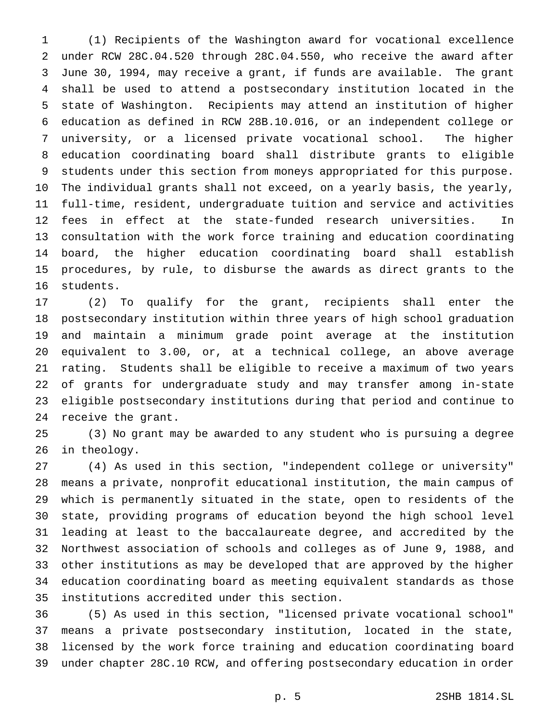(1) Recipients of the Washington award for vocational excellence under RCW 28C.04.520 through 28C.04.550, who receive the award after June 30, 1994, may receive a grant, if funds are available. The grant shall be used to attend a postsecondary institution located in the state of Washington. Recipients may attend an institution of higher education as defined in RCW 28B.10.016, or an independent college or university, or a licensed private vocational school. The higher education coordinating board shall distribute grants to eligible students under this section from moneys appropriated for this purpose. The individual grants shall not exceed, on a yearly basis, the yearly, full-time, resident, undergraduate tuition and service and activities fees in effect at the state-funded research universities. In consultation with the work force training and education coordinating board, the higher education coordinating board shall establish procedures, by rule, to disburse the awards as direct grants to the students.

 (2) To qualify for the grant, recipients shall enter the postsecondary institution within three years of high school graduation and maintain a minimum grade point average at the institution equivalent to 3.00, or, at a technical college, an above average rating. Students shall be eligible to receive a maximum of two years of grants for undergraduate study and may transfer among in-state eligible postsecondary institutions during that period and continue to receive the grant.

 (3) No grant may be awarded to any student who is pursuing a degree in theology.

 (4) As used in this section, "independent college or university" means a private, nonprofit educational institution, the main campus of which is permanently situated in the state, open to residents of the state, providing programs of education beyond the high school level leading at least to the baccalaureate degree, and accredited by the Northwest association of schools and colleges as of June 9, 1988, and other institutions as may be developed that are approved by the higher education coordinating board as meeting equivalent standards as those institutions accredited under this section.

 (5) As used in this section, "licensed private vocational school" means a private postsecondary institution, located in the state, licensed by the work force training and education coordinating board under chapter 28C.10 RCW, and offering postsecondary education in order